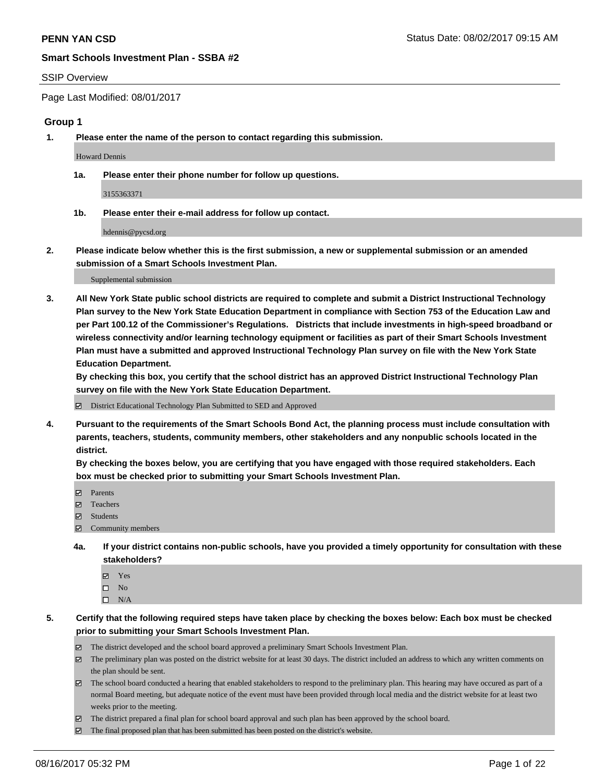#### SSIP Overview

Page Last Modified: 08/01/2017

## **Group 1**

**1. Please enter the name of the person to contact regarding this submission.**

Howard Dennis

**1a. Please enter their phone number for follow up questions.**

3155363371

**1b. Please enter their e-mail address for follow up contact.**

hdennis@pycsd.org

**2. Please indicate below whether this is the first submission, a new or supplemental submission or an amended submission of a Smart Schools Investment Plan.**

Supplemental submission

**3. All New York State public school districts are required to complete and submit a District Instructional Technology Plan survey to the New York State Education Department in compliance with Section 753 of the Education Law and per Part 100.12 of the Commissioner's Regulations. Districts that include investments in high-speed broadband or wireless connectivity and/or learning technology equipment or facilities as part of their Smart Schools Investment Plan must have a submitted and approved Instructional Technology Plan survey on file with the New York State Education Department.** 

**By checking this box, you certify that the school district has an approved District Instructional Technology Plan survey on file with the New York State Education Department.**

District Educational Technology Plan Submitted to SED and Approved

**4. Pursuant to the requirements of the Smart Schools Bond Act, the planning process must include consultation with parents, teachers, students, community members, other stakeholders and any nonpublic schools located in the district.** 

**By checking the boxes below, you are certifying that you have engaged with those required stakeholders. Each box must be checked prior to submitting your Smart Schools Investment Plan.**

- **マ** Parents
- □ Teachers
- Students
- $\Xi$  Community members
- **4a. If your district contains non-public schools, have you provided a timely opportunity for consultation with these stakeholders?**
	- Yes
	- $\hfill \square$  No
	- $\square$  N/A
- **5. Certify that the following required steps have taken place by checking the boxes below: Each box must be checked prior to submitting your Smart Schools Investment Plan.**
	- The district developed and the school board approved a preliminary Smart Schools Investment Plan.
	- $\boxtimes$  The preliminary plan was posted on the district website for at least 30 days. The district included an address to which any written comments on the plan should be sent.
	- $\boxtimes$  The school board conducted a hearing that enabled stakeholders to respond to the preliminary plan. This hearing may have occured as part of a normal Board meeting, but adequate notice of the event must have been provided through local media and the district website for at least two weeks prior to the meeting.
	- The district prepared a final plan for school board approval and such plan has been approved by the school board.
	- $\boxtimes$  The final proposed plan that has been submitted has been posted on the district's website.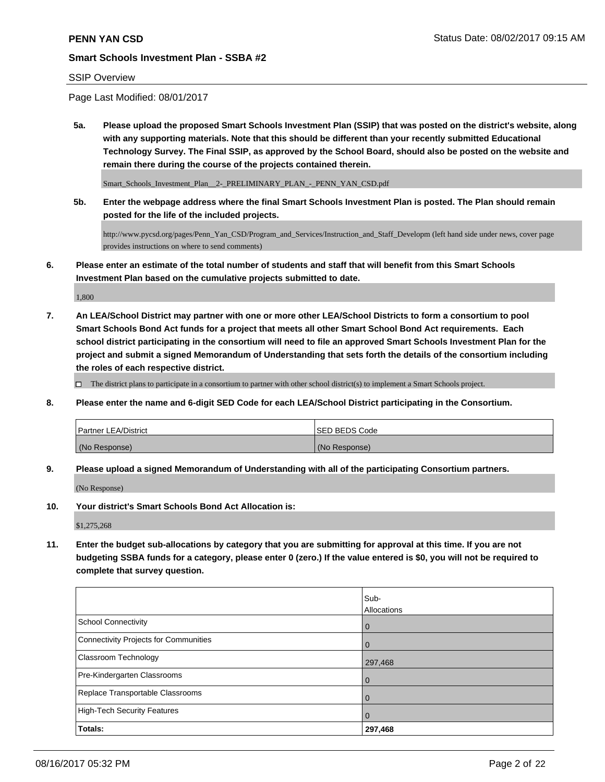## SSIP Overview

Page Last Modified: 08/01/2017

**5a. Please upload the proposed Smart Schools Investment Plan (SSIP) that was posted on the district's website, along with any supporting materials. Note that this should be different than your recently submitted Educational Technology Survey. The Final SSIP, as approved by the School Board, should also be posted on the website and remain there during the course of the projects contained therein.**

Smart\_Schools\_Investment\_Plan\_\_2-\_PRELIMINARY\_PLAN\_-\_PENN\_YAN\_CSD.pdf

**5b. Enter the webpage address where the final Smart Schools Investment Plan is posted. The Plan should remain posted for the life of the included projects.**

http://www.pycsd.org/pages/Penn\_Yan\_CSD/Program\_and\_Services/Instruction\_and\_Staff\_Developm (left hand side under news, cover page provides instructions on where to send comments)

**6. Please enter an estimate of the total number of students and staff that will benefit from this Smart Schools Investment Plan based on the cumulative projects submitted to date.**

1,800

**7. An LEA/School District may partner with one or more other LEA/School Districts to form a consortium to pool Smart Schools Bond Act funds for a project that meets all other Smart School Bond Act requirements. Each school district participating in the consortium will need to file an approved Smart Schools Investment Plan for the project and submit a signed Memorandum of Understanding that sets forth the details of the consortium including the roles of each respective district.**

 $\Box$  The district plans to participate in a consortium to partner with other school district(s) to implement a Smart Schools project.

**8. Please enter the name and 6-digit SED Code for each LEA/School District participating in the Consortium.**

| <b>Partner LEA/District</b> | ISED BEDS Code |
|-----------------------------|----------------|
| (No Response)               | (No Response)  |

**9. Please upload a signed Memorandum of Understanding with all of the participating Consortium partners.**

(No Response)

**10. Your district's Smart Schools Bond Act Allocation is:**

\$1,275,268

**11. Enter the budget sub-allocations by category that you are submitting for approval at this time. If you are not budgeting SSBA funds for a category, please enter 0 (zero.) If the value entered is \$0, you will not be required to complete that survey question.**

|                                       | Sub-           |
|---------------------------------------|----------------|
|                                       | Allocations    |
| <b>School Connectivity</b>            | l 0            |
| Connectivity Projects for Communities | $\overline{0}$ |
| <b>Classroom Technology</b>           | 297,468        |
| Pre-Kindergarten Classrooms           | l O            |
| Replace Transportable Classrooms      | $\Omega$       |
| High-Tech Security Features           | <b>0</b>       |
| Totals:                               | 297,468        |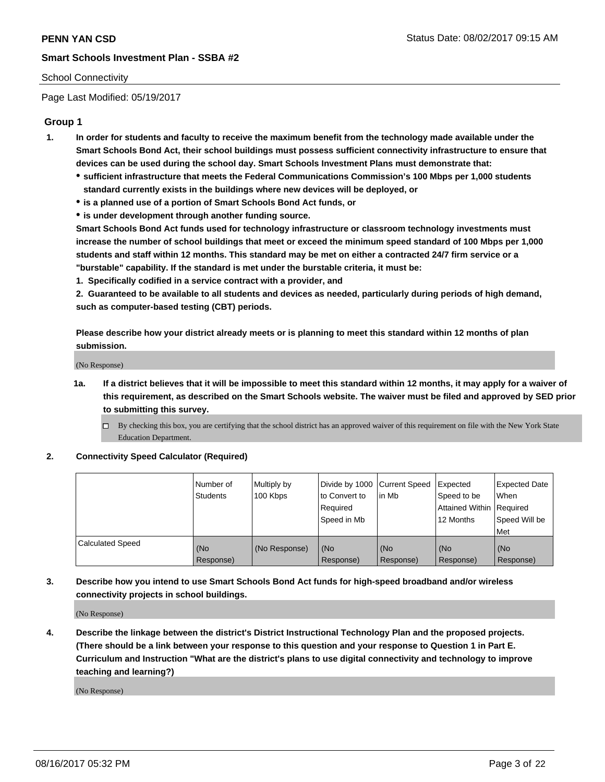### School Connectivity

Page Last Modified: 05/19/2017

## **Group 1**

- **1. In order for students and faculty to receive the maximum benefit from the technology made available under the Smart Schools Bond Act, their school buildings must possess sufficient connectivity infrastructure to ensure that devices can be used during the school day. Smart Schools Investment Plans must demonstrate that:**
	- **sufficient infrastructure that meets the Federal Communications Commission's 100 Mbps per 1,000 students standard currently exists in the buildings where new devices will be deployed, or**
	- **is a planned use of a portion of Smart Schools Bond Act funds, or**
	- **is under development through another funding source.**

**Smart Schools Bond Act funds used for technology infrastructure or classroom technology investments must increase the number of school buildings that meet or exceed the minimum speed standard of 100 Mbps per 1,000 students and staff within 12 months. This standard may be met on either a contracted 24/7 firm service or a "burstable" capability. If the standard is met under the burstable criteria, it must be:**

**1. Specifically codified in a service contract with a provider, and**

**2. Guaranteed to be available to all students and devices as needed, particularly during periods of high demand, such as computer-based testing (CBT) periods.**

**Please describe how your district already meets or is planning to meet this standard within 12 months of plan submission.**

(No Response)

- **1a. If a district believes that it will be impossible to meet this standard within 12 months, it may apply for a waiver of this requirement, as described on the Smart Schools website. The waiver must be filed and approved by SED prior to submitting this survey.**
	- By checking this box, you are certifying that the school district has an approved waiver of this requirement on file with the New York State Education Department.

#### **2. Connectivity Speed Calculator (Required)**

|                         | l Number of<br><b>Students</b> | Multiply by<br>100 Kbps | Divide by 1000   Current Speed<br>to Convert to<br>Required<br>l Speed in Mb | in Mb            | Expected<br>Speed to be<br>Attained Within Required<br>12 Months | <b>Expected Date</b><br>When<br>Speed Will be<br><b>Met</b> |
|-------------------------|--------------------------------|-------------------------|------------------------------------------------------------------------------|------------------|------------------------------------------------------------------|-------------------------------------------------------------|
| <b>Calculated Speed</b> | (No<br>Response)               | (No Response)           | (No<br>Response)                                                             | (No<br>Response) | (No<br>Response)                                                 | l (No<br>Response)                                          |

## **3. Describe how you intend to use Smart Schools Bond Act funds for high-speed broadband and/or wireless connectivity projects in school buildings.**

(No Response)

**4. Describe the linkage between the district's District Instructional Technology Plan and the proposed projects. (There should be a link between your response to this question and your response to Question 1 in Part E. Curriculum and Instruction "What are the district's plans to use digital connectivity and technology to improve teaching and learning?)**

(No Response)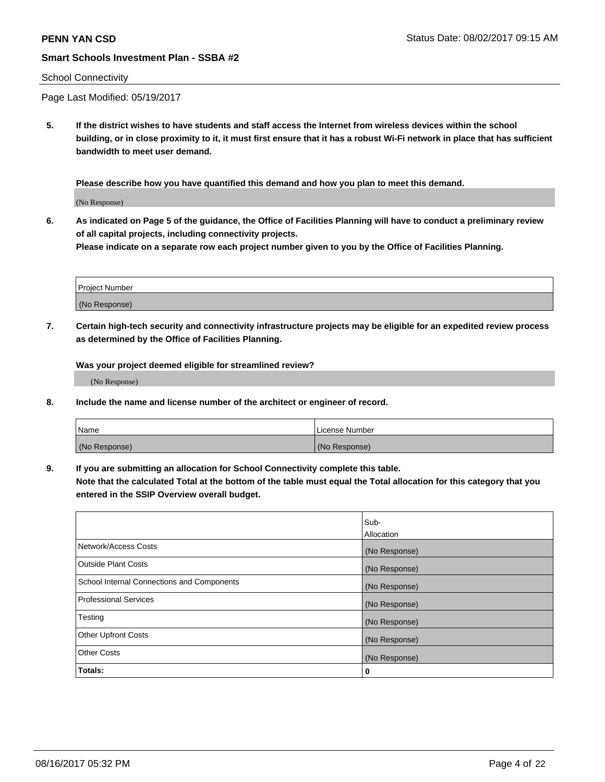#### School Connectivity

Page Last Modified: 05/19/2017

**5. If the district wishes to have students and staff access the Internet from wireless devices within the school building, or in close proximity to it, it must first ensure that it has a robust Wi-Fi network in place that has sufficient bandwidth to meet user demand.**

**Please describe how you have quantified this demand and how you plan to meet this demand.**

(No Response)

**6. As indicated on Page 5 of the guidance, the Office of Facilities Planning will have to conduct a preliminary review of all capital projects, including connectivity projects.**

**Please indicate on a separate row each project number given to you by the Office of Facilities Planning.**

| Project Number |  |
|----------------|--|
|                |  |
| (No Response)  |  |

**7. Certain high-tech security and connectivity infrastructure projects may be eligible for an expedited review process as determined by the Office of Facilities Planning.**

**Was your project deemed eligible for streamlined review?**

(No Response)

**8. Include the name and license number of the architect or engineer of record.**

| Name          | License Number |
|---------------|----------------|
| (No Response) | (No Response)  |

**9. If you are submitting an allocation for School Connectivity complete this table.**

**Note that the calculated Total at the bottom of the table must equal the Total allocation for this category that you entered in the SSIP Overview overall budget.** 

|                                            | Sub-          |
|--------------------------------------------|---------------|
|                                            | Allocation    |
| Network/Access Costs                       | (No Response) |
| Outside Plant Costs                        | (No Response) |
| School Internal Connections and Components | (No Response) |
| <b>Professional Services</b>               | (No Response) |
| Testing                                    | (No Response) |
| <b>Other Upfront Costs</b>                 | (No Response) |
| <b>Other Costs</b>                         | (No Response) |
| Totals:                                    | 0             |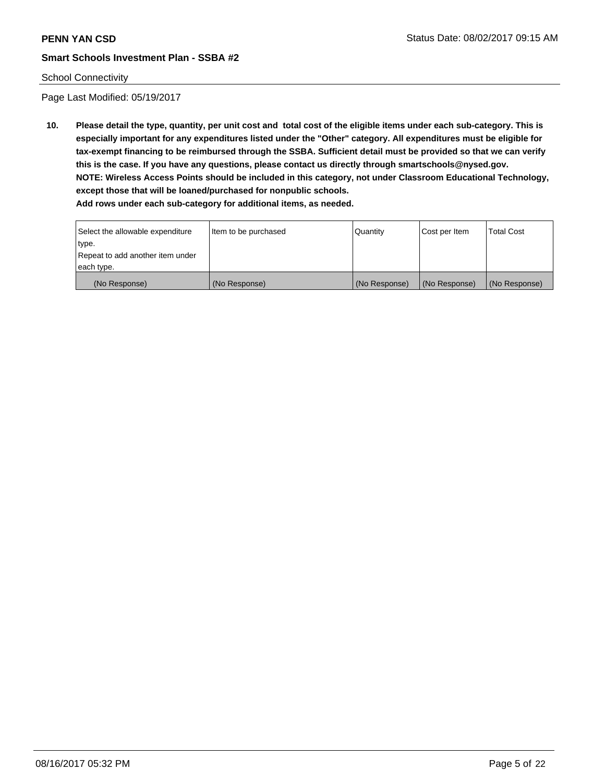## School Connectivity

Page Last Modified: 05/19/2017

**10. Please detail the type, quantity, per unit cost and total cost of the eligible items under each sub-category. This is especially important for any expenditures listed under the "Other" category. All expenditures must be eligible for tax-exempt financing to be reimbursed through the SSBA. Sufficient detail must be provided so that we can verify this is the case. If you have any questions, please contact us directly through smartschools@nysed.gov. NOTE: Wireless Access Points should be included in this category, not under Classroom Educational Technology, except those that will be loaned/purchased for nonpublic schools.**

| Select the allowable expenditure | Item to be purchased | Quantity      | Cost per Item | <b>Total Cost</b> |
|----------------------------------|----------------------|---------------|---------------|-------------------|
| type.                            |                      |               |               |                   |
| Repeat to add another item under |                      |               |               |                   |
| each type.                       |                      |               |               |                   |
| (No Response)                    | (No Response)        | (No Response) | (No Response) | (No Response)     |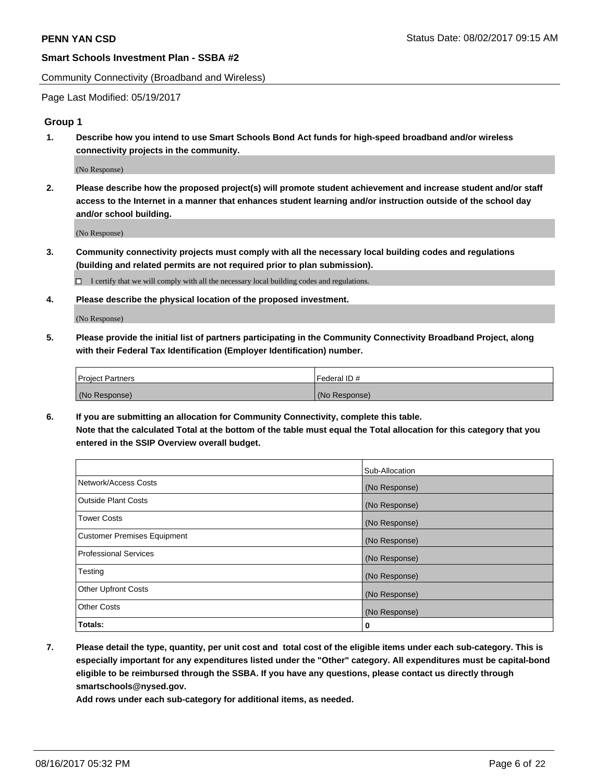Community Connectivity (Broadband and Wireless)

Page Last Modified: 05/19/2017

### **Group 1**

**1. Describe how you intend to use Smart Schools Bond Act funds for high-speed broadband and/or wireless connectivity projects in the community.**

(No Response)

**2. Please describe how the proposed project(s) will promote student achievement and increase student and/or staff access to the Internet in a manner that enhances student learning and/or instruction outside of the school day and/or school building.**

(No Response)

**3. Community connectivity projects must comply with all the necessary local building codes and regulations (building and related permits are not required prior to plan submission).**

 $\Box$  I certify that we will comply with all the necessary local building codes and regulations.

**4. Please describe the physical location of the proposed investment.**

(No Response)

**5. Please provide the initial list of partners participating in the Community Connectivity Broadband Project, along with their Federal Tax Identification (Employer Identification) number.**

| <b>Project Partners</b> | Federal ID#     |
|-------------------------|-----------------|
| (No Response)           | l (No Response) |

**6. If you are submitting an allocation for Community Connectivity, complete this table. Note that the calculated Total at the bottom of the table must equal the Total allocation for this category that you entered in the SSIP Overview overall budget.**

|                                    | Sub-Allocation |
|------------------------------------|----------------|
| Network/Access Costs               | (No Response)  |
| Outside Plant Costs                | (No Response)  |
| Tower Costs                        | (No Response)  |
| <b>Customer Premises Equipment</b> | (No Response)  |
| <b>Professional Services</b>       | (No Response)  |
| Testing                            | (No Response)  |
| <b>Other Upfront Costs</b>         | (No Response)  |
| <b>Other Costs</b>                 | (No Response)  |
| Totals:                            | 0              |

**7. Please detail the type, quantity, per unit cost and total cost of the eligible items under each sub-category. This is especially important for any expenditures listed under the "Other" category. All expenditures must be capital-bond eligible to be reimbursed through the SSBA. If you have any questions, please contact us directly through smartschools@nysed.gov.**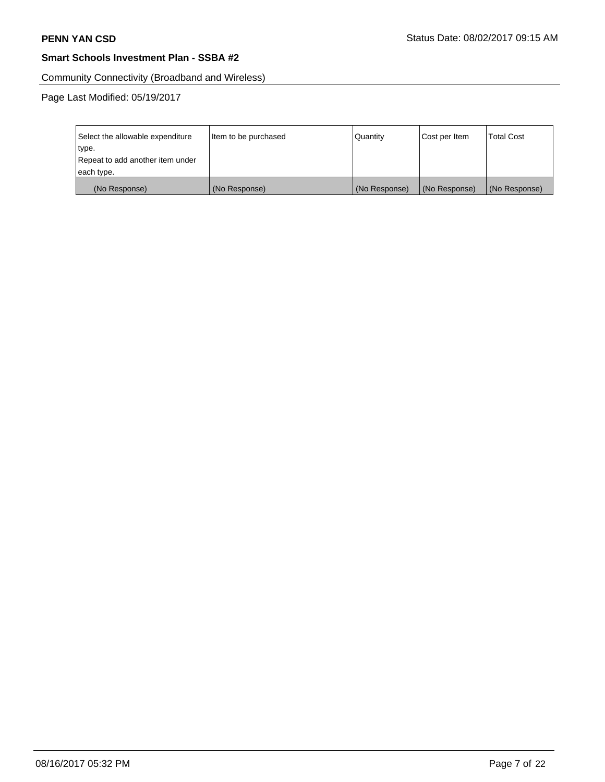Community Connectivity (Broadband and Wireless)

Page Last Modified: 05/19/2017

| Select the allowable expenditure | Item to be purchased | Quantity      | Cost per Item | <b>Total Cost</b> |
|----------------------------------|----------------------|---------------|---------------|-------------------|
| type.                            |                      |               |               |                   |
| Repeat to add another item under |                      |               |               |                   |
| each type.                       |                      |               |               |                   |
| (No Response)                    | (No Response)        | (No Response) | (No Response) | (No Response)     |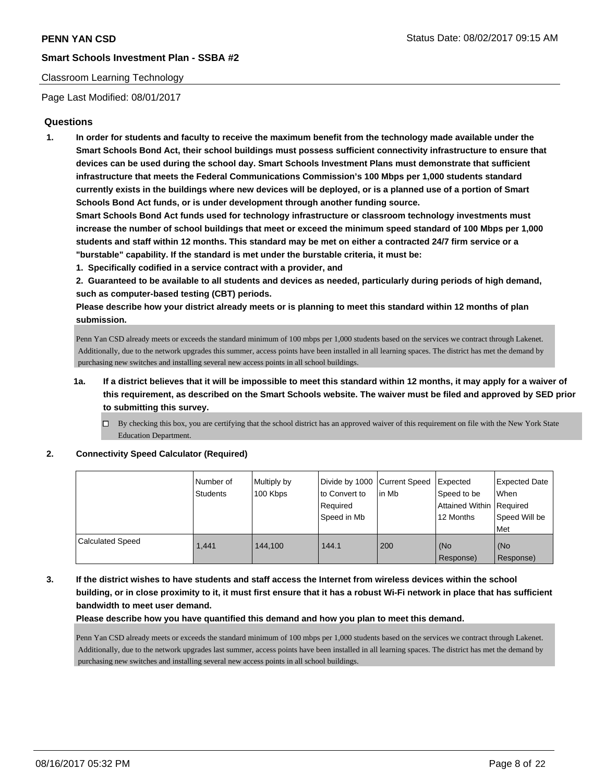## Classroom Learning Technology

Page Last Modified: 08/01/2017

## **Questions**

**1. In order for students and faculty to receive the maximum benefit from the technology made available under the Smart Schools Bond Act, their school buildings must possess sufficient connectivity infrastructure to ensure that devices can be used during the school day. Smart Schools Investment Plans must demonstrate that sufficient infrastructure that meets the Federal Communications Commission's 100 Mbps per 1,000 students standard currently exists in the buildings where new devices will be deployed, or is a planned use of a portion of Smart Schools Bond Act funds, or is under development through another funding source.**

**Smart Schools Bond Act funds used for technology infrastructure or classroom technology investments must increase the number of school buildings that meet or exceed the minimum speed standard of 100 Mbps per 1,000 students and staff within 12 months. This standard may be met on either a contracted 24/7 firm service or a "burstable" capability. If the standard is met under the burstable criteria, it must be:**

**1. Specifically codified in a service contract with a provider, and**

**2. Guaranteed to be available to all students and devices as needed, particularly during periods of high demand, such as computer-based testing (CBT) periods.**

**Please describe how your district already meets or is planning to meet this standard within 12 months of plan submission.**

Penn Yan CSD already meets or exceeds the standard minimum of 100 mbps per 1,000 students based on the services we contract through Lakenet. Additionally, due to the network upgrades this summer, access points have been installed in all learning spaces. The district has met the demand by purchasing new switches and installing several new access points in all school buildings.

- **1a. If a district believes that it will be impossible to meet this standard within 12 months, it may apply for a waiver of this requirement, as described on the Smart Schools website. The waiver must be filed and approved by SED prior to submitting this survey.**
	- $\Box$  By checking this box, you are certifying that the school district has an approved waiver of this requirement on file with the New York State Education Department.

**2. Connectivity Speed Calculator (Required)**

|                  | Number of<br><b>Students</b> | Multiply by<br>100 Kbps | Divide by 1000 Current Speed<br>to Convert to<br>Required<br>Speed in Mb | in Mb | Expected<br>Speed to be<br>Attained Within   Required<br>12 Months | <b>Expected Date</b><br>When<br>Speed Will be<br>Met |
|------------------|------------------------------|-------------------------|--------------------------------------------------------------------------|-------|--------------------------------------------------------------------|------------------------------------------------------|
| Calculated Speed | 1.441                        | 144.100                 | 144.1                                                                    | 200   | (No<br>Response)                                                   | l (No<br>Response)                                   |

**3. If the district wishes to have students and staff access the Internet from wireless devices within the school building, or in close proximity to it, it must first ensure that it has a robust Wi-Fi network in place that has sufficient bandwidth to meet user demand.**

**Please describe how you have quantified this demand and how you plan to meet this demand.**

Penn Yan CSD already meets or exceeds the standard minimum of 100 mbps per 1,000 students based on the services we contract through Lakenet. Additionally, due to the network upgrades last summer, access points have been installed in all learning spaces. The district has met the demand by purchasing new switches and installing several new access points in all school buildings.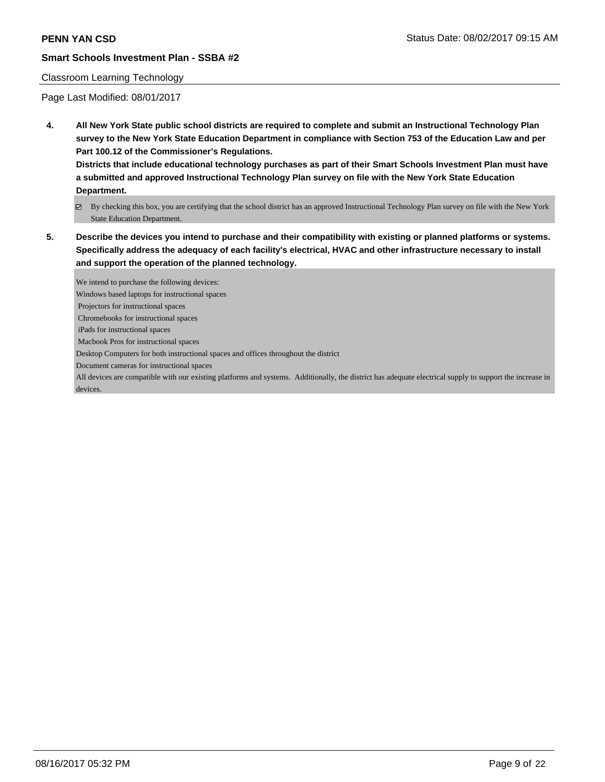#### Classroom Learning Technology

Page Last Modified: 08/01/2017

**4. All New York State public school districts are required to complete and submit an Instructional Technology Plan survey to the New York State Education Department in compliance with Section 753 of the Education Law and per Part 100.12 of the Commissioner's Regulations.**

**Districts that include educational technology purchases as part of their Smart Schools Investment Plan must have a submitted and approved Instructional Technology Plan survey on file with the New York State Education Department.**

- By checking this box, you are certifying that the school district has an approved Instructional Technology Plan survey on file with the New York State Education Department.
- **5. Describe the devices you intend to purchase and their compatibility with existing or planned platforms or systems. Specifically address the adequacy of each facility's electrical, HVAC and other infrastructure necessary to install and support the operation of the planned technology.**

We intend to purchase the following devices: Windows based laptops for instructional spaces Projectors for instructional spaces Chromebooks for instructional spaces iPads for instructional spaces Macbook Pros for instructional spaces Desktop Computers for both instructional spaces and offices throughout the district Document cameras for instructional spaces All devices are compatible with our existing platforms and systems. Additionally, the district has adequate electrical supply to support the increase in devices.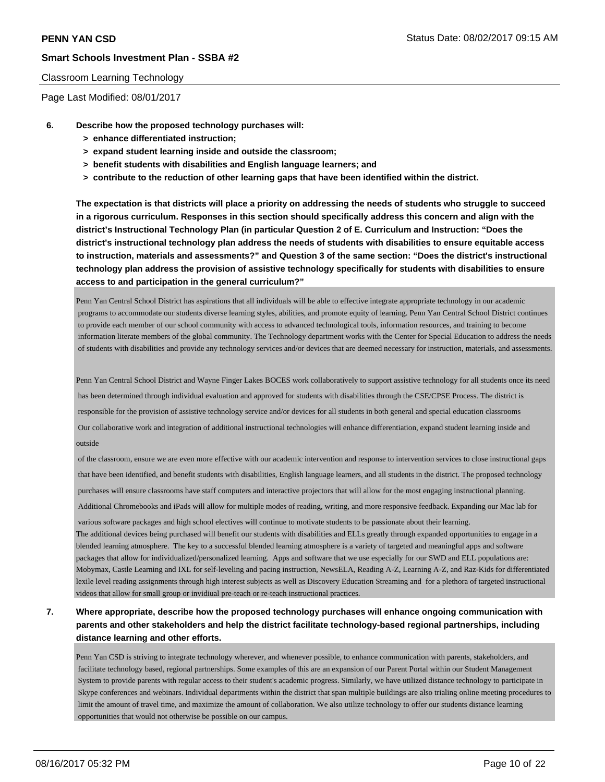#### Classroom Learning Technology

Page Last Modified: 08/01/2017

- **6. Describe how the proposed technology purchases will:**
	- **> enhance differentiated instruction;**
	- **> expand student learning inside and outside the classroom;**
	- **> benefit students with disabilities and English language learners; and**
	- **> contribute to the reduction of other learning gaps that have been identified within the district.**

**The expectation is that districts will place a priority on addressing the needs of students who struggle to succeed in a rigorous curriculum. Responses in this section should specifically address this concern and align with the district's Instructional Technology Plan (in particular Question 2 of E. Curriculum and Instruction: "Does the district's instructional technology plan address the needs of students with disabilities to ensure equitable access to instruction, materials and assessments?" and Question 3 of the same section: "Does the district's instructional technology plan address the provision of assistive technology specifically for students with disabilities to ensure access to and participation in the general curriculum?"**

Penn Yan Central School District has aspirations that all individuals will be able to effective integrate appropriate technology in our academic programs to accommodate our students diverse learning styles, abilities, and promote equity of learning. Penn Yan Central School District continues to provide each member of our school community with access to advanced technological tools, information resources, and training to become information literate members of the global community. The Technology department works with the Center for Special Education to address the needs of students with disabilities and provide any technology services and/or devices that are deemed necessary for instruction, materials, and assessments.

Penn Yan Central School District and Wayne Finger Lakes BOCES work collaboratively to support assistive technology for all students once its need has been determined through individual evaluation and approved for students with disabilities through the CSE/CPSE Process. The district is responsible for the provision of assistive technology service and/or devices for all students in both general and special education classrooms Our collaborative work and integration of additional instructional technologies will enhance differentiation, expand student learning inside and outside

 of the classroom, ensure we are even more effective with our academic intervention and response to intervention services to close instructional gaps that have been identified, and benefit students with disabilities, English language learners, and all students in the district. The proposed technology purchases will ensure classrooms have staff computers and interactive projectors that will allow for the most engaging instructional planning. Additional Chromebooks and iPads will allow for multiple modes of reading, writing, and more responsive feedback. Expanding our Mac lab for

 various software packages and high school electives will continue to motivate students to be passionate about their learning. The additional devices being purchased will benefit our students with disabilities and ELLs greatly through expanded opportunities to engage in a blended learning atmosphere. The key to a successful blended learning atmosphere is a variety of targeted and meaningful apps and software packages that allow for individualized/personalized learning. Apps and software that we use especially for our SWD and ELL populations are: Mobymax, Castle Learning and IXL for self-leveling and pacing instruction, NewsELA, Reading A-Z, Learning A-Z, and Raz-Kids for differentiated lexile level reading assignments through high interest subjects as well as Discovery Education Streaming and for a plethora of targeted instructional videos that allow for small group or invidiual pre-teach or re-teach instructional practices.

# **7. Where appropriate, describe how the proposed technology purchases will enhance ongoing communication with parents and other stakeholders and help the district facilitate technology-based regional partnerships, including distance learning and other efforts.**

Penn Yan CSD is striving to integrate technology wherever, and whenever possible, to enhance communication with parents, stakeholders, and facilitate technology based, regional partnerships. Some examples of this are an expansion of our Parent Portal within our Student Management System to provide parents with regular access to their student's academic progress. Similarly, we have utilized distance technology to participate in Skype conferences and webinars. Individual departments within the district that span multiple buildings are also trialing online meeting procedures to limit the amount of travel time, and maximize the amount of collaboration. We also utilize technology to offer our students distance learning opportunities that would not otherwise be possible on our campus.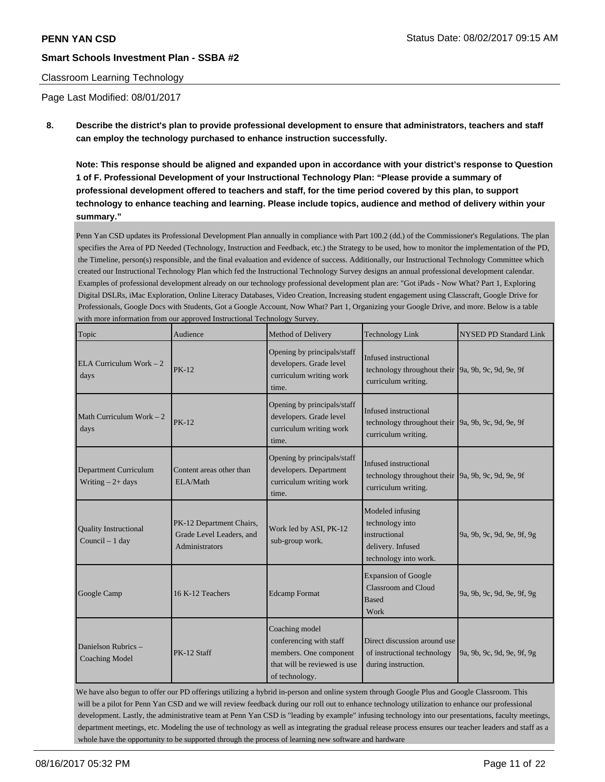## Classroom Learning Technology

Page Last Modified: 08/01/2017

**8. Describe the district's plan to provide professional development to ensure that administrators, teachers and staff can employ the technology purchased to enhance instruction successfully.**

**Note: This response should be aligned and expanded upon in accordance with your district's response to Question 1 of F. Professional Development of your Instructional Technology Plan: "Please provide a summary of professional development offered to teachers and staff, for the time period covered by this plan, to support technology to enhance teaching and learning. Please include topics, audience and method of delivery within your summary."**

Penn Yan CSD updates its Professional Development Plan annually in compliance with Part 100.2 (dd.) of the Commissioner's Regulations. The plan specifies the Area of PD Needed (Technology, Instruction and Feedback, etc.) the Strategy to be used, how to monitor the implementation of the PD, the Timeline, person(s) responsible, and the final evaluation and evidence of success. Additionally, our Instructional Technology Committee which created our Instructional Technology Plan which fed the Instructional Technology Survey designs an annual professional development calendar. Examples of professional development already on our technology professional development plan are: "Got iPads - Now What? Part 1, Exploring Digital DSLRs, iMac Exploration, Online Literacy Databases, Video Creation, Increasing student engagement using Classcraft, Google Drive for Professionals, Google Docs with Students, Got a Google Account, Now What? Part 1, Organizing your Google Drive, and more. Below is a table with more information from our approved Instructional Technology Survey.

| Topic                                              | Audience                                                               | Method of Delivery                                                                                                    | <b>Technology Link</b>                                                                                            | <b>NYSED PD Standard Link</b> |
|----------------------------------------------------|------------------------------------------------------------------------|-----------------------------------------------------------------------------------------------------------------------|-------------------------------------------------------------------------------------------------------------------|-------------------------------|
| ELA Curriculum Work $-2$<br>days                   | <b>PK-12</b>                                                           | Opening by principals/staff<br>developers. Grade level<br>curriculum writing work<br>time.                            | Infused instructional<br>technology throughout their $\left[9a, 9b, 9c, 9d, 9e, 9f\right]$<br>curriculum writing. |                               |
| Math Curriculum Work $-2$<br>days                  | $PK-12$                                                                | Opening by principals/staff<br>developers. Grade level<br>curriculum writing work<br>time.                            | Infused instructional<br>technology throughout their 9a, 9b, 9c, 9d, 9e, 9f<br>curriculum writing.                |                               |
| <b>Department Curriculum</b><br>Writing $-2+$ days | Content areas other than<br>ELA/Math                                   | Opening by principals/staff<br>developers. Department<br>curriculum writing work<br>time.                             | Infused instructional<br>technology throughout their 9a, 9b, 9c, 9d, 9e, 9f<br>curriculum writing.                |                               |
| <b>Quality Instructional</b><br>Council - 1 day    | PK-12 Department Chairs,<br>Grade Level Leaders, and<br>Administrators | Work led by ASI, PK-12<br>sub-group work.                                                                             | Modeled infusing<br>technology into<br>instructional<br>delivery. Infused<br>technology into work.                | 9a, 9b, 9c, 9d, 9e, 9f, 9g    |
| Google Camp                                        | 16 K-12 Teachers                                                       | <b>Edcamp Format</b>                                                                                                  | <b>Expansion of Google</b><br>Classroom and Cloud<br><b>Based</b><br>Work                                         | 9a, 9b, 9c, 9d, 9e, 9f, 9g    |
| Danielson Rubrics -<br><b>Coaching Model</b>       | PK-12 Staff                                                            | Coaching model<br>conferencing with staff<br>members. One component<br>that will be reviewed is use<br>of technology. | Direct discussion around use<br>of instructional technology<br>during instruction.                                | 9a, 9b, 9c, 9d, 9e, 9f, 9g    |

We have also begun to offer our PD offerings utilizing a hybrid in-person and online system through Google Plus and Google Classroom. This will be a pilot for Penn Yan CSD and we will review feedback during our roll out to enhance technology utilization to enhance our professional development. Lastly, the administrative team at Penn Yan CSD is "leading by example" infusing technology into our presentations, faculty meetings, department meetings, etc. Modeling the use of technology as well as integrating the gradual release process ensures our teacher leaders and staff as a whole have the opportunity to be supported through the process of learning new software and hardware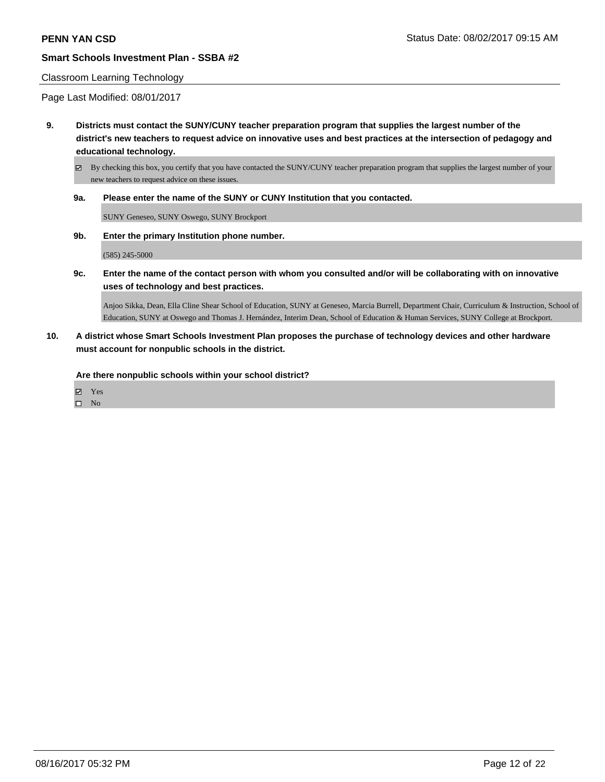#### Classroom Learning Technology

Page Last Modified: 08/01/2017

**9. Districts must contact the SUNY/CUNY teacher preparation program that supplies the largest number of the district's new teachers to request advice on innovative uses and best practices at the intersection of pedagogy and educational technology.**

By checking this box, you certify that you have contacted the SUNY/CUNY teacher preparation program that supplies the largest number of your new teachers to request advice on these issues.

**9a. Please enter the name of the SUNY or CUNY Institution that you contacted.**

SUNY Geneseo, SUNY Oswego, SUNY Brockport

**9b. Enter the primary Institution phone number.**

(585) 245-5000

**9c. Enter the name of the contact person with whom you consulted and/or will be collaborating with on innovative uses of technology and best practices.**

Anjoo Sikka, Dean, Ella Cline Shear School of Education, SUNY at Geneseo, Marcia Burrell, Department Chair, Curriculum & Instruction, School of Education, SUNY at Oswego and Thomas J. Hernández, Interim Dean, School of Education & Human Services, SUNY College at Brockport.

**10. A district whose Smart Schools Investment Plan proposes the purchase of technology devices and other hardware must account for nonpublic schools in the district.**

**Are there nonpublic schools within your school district?**

Yes

 $\square$  No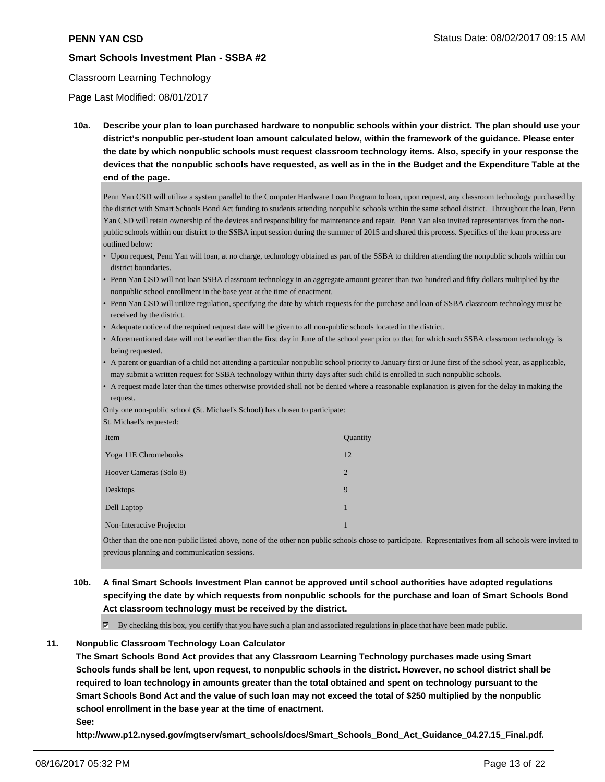#### Classroom Learning Technology

Page Last Modified: 08/01/2017

**10a. Describe your plan to loan purchased hardware to nonpublic schools within your district. The plan should use your district's nonpublic per-student loan amount calculated below, within the framework of the guidance. Please enter the date by which nonpublic schools must request classroom technology items. Also, specify in your response the devices that the nonpublic schools have requested, as well as in the in the Budget and the Expenditure Table at the end of the page.**

Penn Yan CSD will utilize a system parallel to the Computer Hardware Loan Program to loan, upon request, any classroom technology purchased by the district with Smart Schools Bond Act funding to students attending nonpublic schools within the same school district. Throughout the loan, Penn Yan CSD will retain ownership of the devices and responsibility for maintenance and repair. Penn Yan also invited representatives from the nonpublic schools within our district to the SSBA input session during the summer of 2015 and shared this process. Specifics of the loan process are outlined below:

- Upon request, Penn Yan will loan, at no charge, technology obtained as part of the SSBA to children attending the nonpublic schools within our district boundaries.
- Penn Yan CSD will not loan SSBA classroom technology in an aggregate amount greater than two hundred and fifty dollars multiplied by the nonpublic school enrollment in the base year at the time of enactment.
- Penn Yan CSD will utilize regulation, specifying the date by which requests for the purchase and loan of SSBA classroom technology must be received by the district.
- Adequate notice of the required request date will be given to all non-public schools located in the district.
- Aforementioned date will not be earlier than the first day in June of the school year prior to that for which such SSBA classroom technology is being requested.
- A parent or guardian of a child not attending a particular nonpublic school priority to January first or June first of the school year, as applicable, may submit a written request for SSBA technology within thirty days after such child is enrolled in such nonpublic schools.
- A request made later than the times otherwise provided shall not be denied where a reasonable explanation is given for the delay in making the request.

Only one non-public school (St. Michael's School) has chosen to participate:

| St. Michael's requested: |  |  |
|--------------------------|--|--|
|                          |  |  |

| Item                      | Quantity       |
|---------------------------|----------------|
| Yoga 11E Chromebooks      | 12             |
| Hoover Cameras (Solo 8)   | $\overline{2}$ |
| Desktops                  | 9              |
| Dell Laptop               | 1              |
| Non-Interactive Projector | 1              |

Other than the one non-public listed above, none of the other non public schools chose to participate. Representatives from all schools were invited to previous planning and communication sessions.

# **10b. A final Smart Schools Investment Plan cannot be approved until school authorities have adopted regulations specifying the date by which requests from nonpublic schools for the purchase and loan of Smart Schools Bond Act classroom technology must be received by the district.**

 $\boxtimes$  By checking this box, you certify that you have such a plan and associated regulations in place that have been made public.

### **11. Nonpublic Classroom Technology Loan Calculator**

**The Smart Schools Bond Act provides that any Classroom Learning Technology purchases made using Smart Schools funds shall be lent, upon request, to nonpublic schools in the district. However, no school district shall be required to loan technology in amounts greater than the total obtained and spent on technology pursuant to the Smart Schools Bond Act and the value of such loan may not exceed the total of \$250 multiplied by the nonpublic school enrollment in the base year at the time of enactment.**

**See:**

**http://www.p12.nysed.gov/mgtserv/smart\_schools/docs/Smart\_Schools\_Bond\_Act\_Guidance\_04.27.15\_Final.pdf.**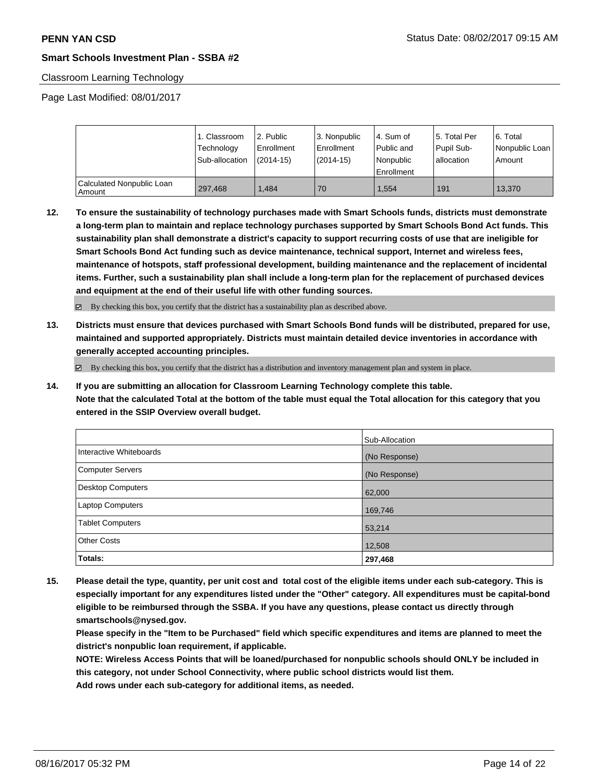#### Classroom Learning Technology

Page Last Modified: 08/01/2017

|                                       | 1. Classroom<br>Technology<br>Sub-allocation | 12. Public<br>Enrollment<br>$(2014-15)$ | 3. Nonpublic<br>Enrollment<br>(2014-15) | l 4. Sum of<br>Public and<br>l Nonpublic<br>Enrollment | 15. Total Per<br>Pupil Sub-<br>l allocation | 6. Total<br>Nonpublic Loan  <br>Amount |
|---------------------------------------|----------------------------------------------|-----------------------------------------|-----------------------------------------|--------------------------------------------------------|---------------------------------------------|----------------------------------------|
| Calculated Nonpublic Loan<br>l Amount | 297.468                                      | .484                                    | 70                                      | 1.554                                                  | 191                                         | 13.370                                 |

**12. To ensure the sustainability of technology purchases made with Smart Schools funds, districts must demonstrate a long-term plan to maintain and replace technology purchases supported by Smart Schools Bond Act funds. This sustainability plan shall demonstrate a district's capacity to support recurring costs of use that are ineligible for Smart Schools Bond Act funding such as device maintenance, technical support, Internet and wireless fees, maintenance of hotspots, staff professional development, building maintenance and the replacement of incidental items. Further, such a sustainability plan shall include a long-term plan for the replacement of purchased devices and equipment at the end of their useful life with other funding sources.**

By checking this box, you certify that the district has a sustainability plan as described above.

**13. Districts must ensure that devices purchased with Smart Schools Bond funds will be distributed, prepared for use, maintained and supported appropriately. Districts must maintain detailed device inventories in accordance with generally accepted accounting principles.**

 $\boxtimes$  By checking this box, you certify that the district has a distribution and inventory management plan and system in place.

**14. If you are submitting an allocation for Classroom Learning Technology complete this table. Note that the calculated Total at the bottom of the table must equal the Total allocation for this category that you entered in the SSIP Overview overall budget.**

|                         | Sub-Allocation |
|-------------------------|----------------|
| Interactive Whiteboards | (No Response)  |
| Computer Servers        | (No Response)  |
| Desktop Computers       | 62,000         |
| Laptop Computers        | 169,746        |
| <b>Tablet Computers</b> | 53,214         |
| <b>Other Costs</b>      | 12,508         |
| Totals:                 | 297,468        |

**15. Please detail the type, quantity, per unit cost and total cost of the eligible items under each sub-category. This is especially important for any expenditures listed under the "Other" category. All expenditures must be capital-bond eligible to be reimbursed through the SSBA. If you have any questions, please contact us directly through smartschools@nysed.gov.**

**Please specify in the "Item to be Purchased" field which specific expenditures and items are planned to meet the district's nonpublic loan requirement, if applicable.**

**NOTE: Wireless Access Points that will be loaned/purchased for nonpublic schools should ONLY be included in this category, not under School Connectivity, where public school districts would list them.**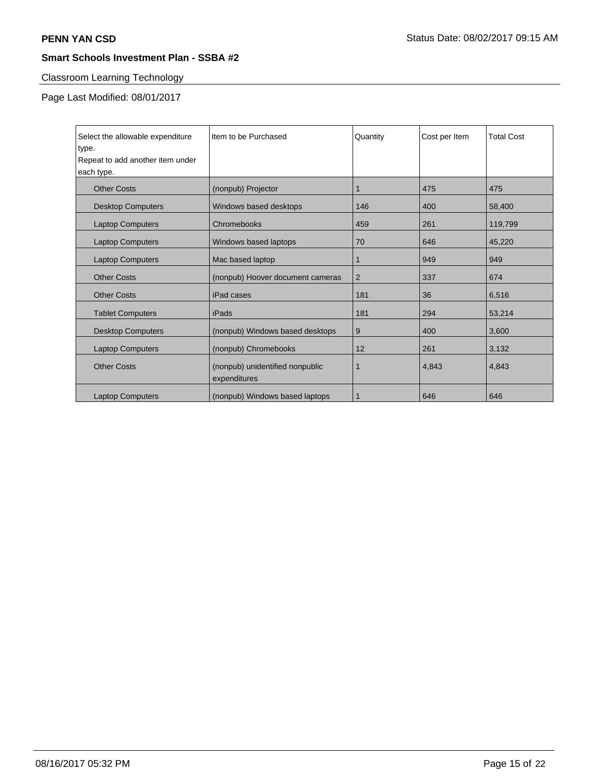# Classroom Learning Technology

Page Last Modified: 08/01/2017

| Select the allowable expenditure<br>type.<br>Repeat to add another item under<br>each type. | Item to be Purchased                            | Quantity    | Cost per Item | <b>Total Cost</b> |
|---------------------------------------------------------------------------------------------|-------------------------------------------------|-------------|---------------|-------------------|
| <b>Other Costs</b>                                                                          | (nonpub) Projector                              | $\mathbf 1$ | 475           | 475               |
| <b>Desktop Computers</b>                                                                    | Windows based desktops                          | 146         | 400           | 58,400            |
| <b>Laptop Computers</b>                                                                     | Chromebooks                                     | 459         | 261           | 119,799           |
| <b>Laptop Computers</b>                                                                     | Windows based laptops                           | 70          | 646           | 45,220            |
| <b>Laptop Computers</b>                                                                     | Mac based laptop                                | 1           | 949           | 949               |
| <b>Other Costs</b>                                                                          | (nonpub) Hoover document cameras                | 2           | 337           | 674               |
| <b>Other Costs</b>                                                                          | iPad cases                                      | 181         | 36            | 6,516             |
| <b>Tablet Computers</b>                                                                     | iPads                                           | 181         | 294           | 53,214            |
| <b>Desktop Computers</b>                                                                    | (nonpub) Windows based desktops                 | 9           | 400           | 3,600             |
| <b>Laptop Computers</b>                                                                     | (nonpub) Chromebooks                            | 12          | 261           | 3,132             |
| <b>Other Costs</b>                                                                          | (nonpub) unidentified nonpublic<br>expenditures | 1           | 4,843         | 4,843             |
| <b>Laptop Computers</b>                                                                     | (nonpub) Windows based laptops                  | 1           | 646           | 646               |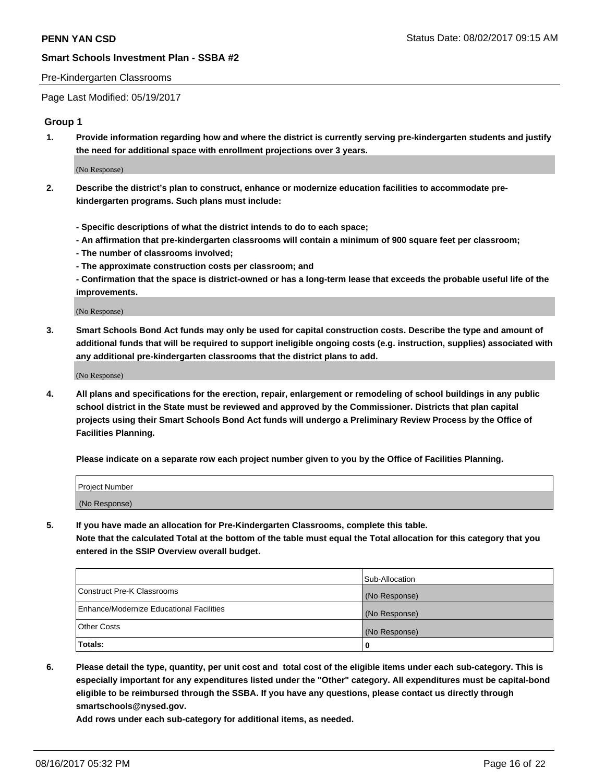#### Pre-Kindergarten Classrooms

Page Last Modified: 05/19/2017

## **Group 1**

**1. Provide information regarding how and where the district is currently serving pre-kindergarten students and justify the need for additional space with enrollment projections over 3 years.**

(No Response)

- **2. Describe the district's plan to construct, enhance or modernize education facilities to accommodate prekindergarten programs. Such plans must include:**
	- **Specific descriptions of what the district intends to do to each space;**
	- **An affirmation that pre-kindergarten classrooms will contain a minimum of 900 square feet per classroom;**
	- **The number of classrooms involved;**
	- **The approximate construction costs per classroom; and**
	- **Confirmation that the space is district-owned or has a long-term lease that exceeds the probable useful life of the improvements.**

(No Response)

**3. Smart Schools Bond Act funds may only be used for capital construction costs. Describe the type and amount of additional funds that will be required to support ineligible ongoing costs (e.g. instruction, supplies) associated with any additional pre-kindergarten classrooms that the district plans to add.**

(No Response)

**4. All plans and specifications for the erection, repair, enlargement or remodeling of school buildings in any public school district in the State must be reviewed and approved by the Commissioner. Districts that plan capital projects using their Smart Schools Bond Act funds will undergo a Preliminary Review Process by the Office of Facilities Planning.**

**Please indicate on a separate row each project number given to you by the Office of Facilities Planning.**

| Project Number |  |
|----------------|--|
| (No Response)  |  |

**5. If you have made an allocation for Pre-Kindergarten Classrooms, complete this table. Note that the calculated Total at the bottom of the table must equal the Total allocation for this category that you entered in the SSIP Overview overall budget.**

| Totals:                                  | 0              |
|------------------------------------------|----------------|
| Other Costs                              | (No Response)  |
| Enhance/Modernize Educational Facilities | (No Response)  |
| Construct Pre-K Classrooms               | (No Response)  |
|                                          | Sub-Allocation |

**6. Please detail the type, quantity, per unit cost and total cost of the eligible items under each sub-category. This is especially important for any expenditures listed under the "Other" category. All expenditures must be capital-bond eligible to be reimbursed through the SSBA. If you have any questions, please contact us directly through smartschools@nysed.gov.**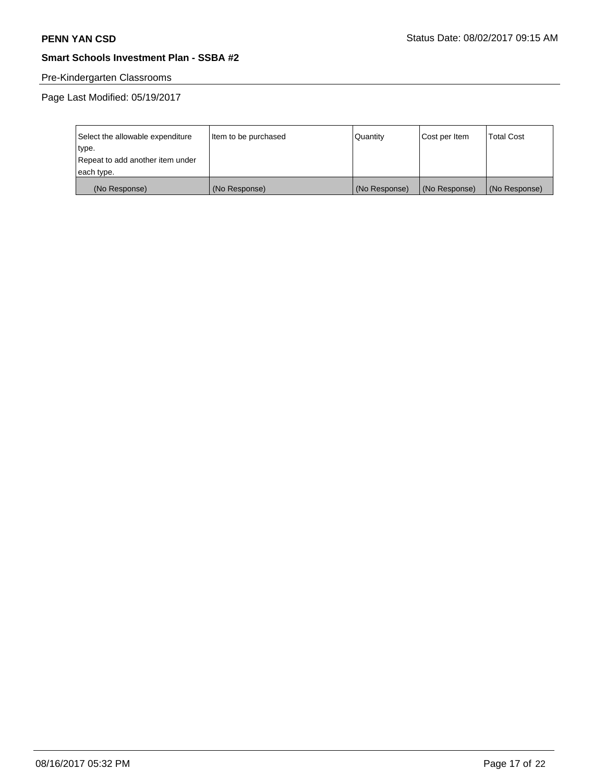# Pre-Kindergarten Classrooms

Page Last Modified: 05/19/2017

| Select the allowable expenditure | Item to be purchased | Quantity      | Cost per Item | <b>Total Cost</b> |
|----------------------------------|----------------------|---------------|---------------|-------------------|
| type.                            |                      |               |               |                   |
| Repeat to add another item under |                      |               |               |                   |
| each type.                       |                      |               |               |                   |
| (No Response)                    | (No Response)        | (No Response) | (No Response) | (No Response)     |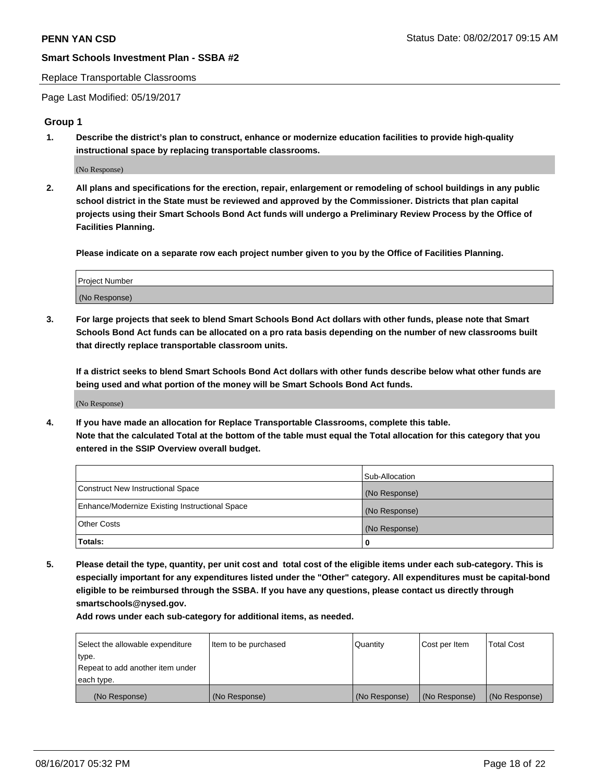#### Replace Transportable Classrooms

Page Last Modified: 05/19/2017

### **Group 1**

**1. Describe the district's plan to construct, enhance or modernize education facilities to provide high-quality instructional space by replacing transportable classrooms.**

(No Response)

**2. All plans and specifications for the erection, repair, enlargement or remodeling of school buildings in any public school district in the State must be reviewed and approved by the Commissioner. Districts that plan capital projects using their Smart Schools Bond Act funds will undergo a Preliminary Review Process by the Office of Facilities Planning.**

**Please indicate on a separate row each project number given to you by the Office of Facilities Planning.**

| Project Number |  |
|----------------|--|
| (No Response)  |  |

**3. For large projects that seek to blend Smart Schools Bond Act dollars with other funds, please note that Smart Schools Bond Act funds can be allocated on a pro rata basis depending on the number of new classrooms built that directly replace transportable classroom units.**

**If a district seeks to blend Smart Schools Bond Act dollars with other funds describe below what other funds are being used and what portion of the money will be Smart Schools Bond Act funds.**

(No Response)

**4. If you have made an allocation for Replace Transportable Classrooms, complete this table. Note that the calculated Total at the bottom of the table must equal the Total allocation for this category that you entered in the SSIP Overview overall budget.**

|                                                | Sub-Allocation |
|------------------------------------------------|----------------|
| Construct New Instructional Space              | (No Response)  |
| Enhance/Modernize Existing Instructional Space | (No Response)  |
| Other Costs                                    | (No Response)  |
| Totals:                                        | 0              |

**5. Please detail the type, quantity, per unit cost and total cost of the eligible items under each sub-category. This is especially important for any expenditures listed under the "Other" category. All expenditures must be capital-bond eligible to be reimbursed through the SSBA. If you have any questions, please contact us directly through smartschools@nysed.gov.**

| Select the allowable expenditure | Item to be purchased | Quantity      | Cost per Item | <b>Total Cost</b> |
|----------------------------------|----------------------|---------------|---------------|-------------------|
| type.                            |                      |               |               |                   |
| Repeat to add another item under |                      |               |               |                   |
| each type.                       |                      |               |               |                   |
| (No Response)                    | (No Response)        | (No Response) | (No Response) | (No Response)     |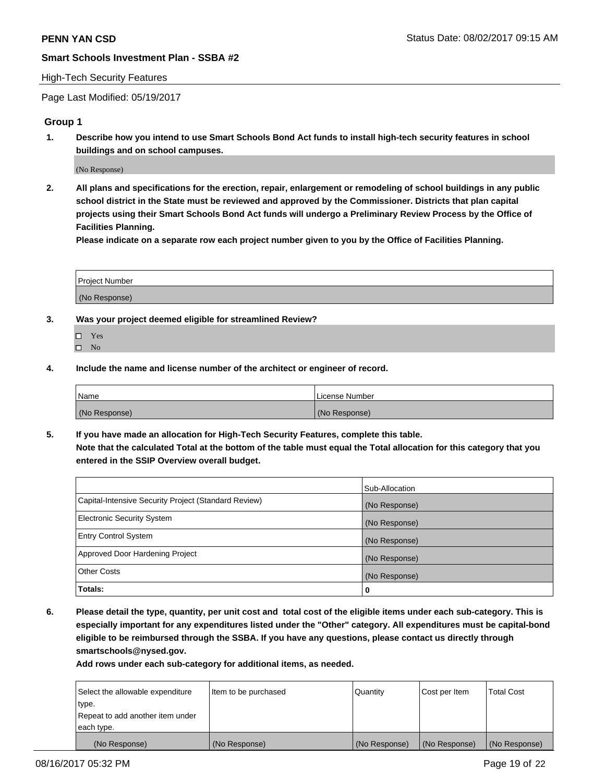### High-Tech Security Features

Page Last Modified: 05/19/2017

## **Group 1**

**1. Describe how you intend to use Smart Schools Bond Act funds to install high-tech security features in school buildings and on school campuses.**

(No Response)

**2. All plans and specifications for the erection, repair, enlargement or remodeling of school buildings in any public school district in the State must be reviewed and approved by the Commissioner. Districts that plan capital projects using their Smart Schools Bond Act funds will undergo a Preliminary Review Process by the Office of Facilities Planning.** 

**Please indicate on a separate row each project number given to you by the Office of Facilities Planning.**

| Project Number |  |
|----------------|--|
|                |  |
|                |  |
|                |  |
| (No Response)  |  |
|                |  |

- **3. Was your project deemed eligible for streamlined Review?**
	- Yes  $\hfill \square$  No
- **4. Include the name and license number of the architect or engineer of record.**

| <b>Name</b>   | License Number |
|---------------|----------------|
| (No Response) | (No Response)  |

**5. If you have made an allocation for High-Tech Security Features, complete this table. Note that the calculated Total at the bottom of the table must equal the Total allocation for this category that you entered in the SSIP Overview overall budget.**

|                                                      | Sub-Allocation |
|------------------------------------------------------|----------------|
| Capital-Intensive Security Project (Standard Review) | (No Response)  |
| Electronic Security System                           | (No Response)  |
| <b>Entry Control System</b>                          | (No Response)  |
| Approved Door Hardening Project                      | (No Response)  |
| <b>Other Costs</b>                                   | (No Response)  |
| Totals:                                              | 0              |

**6. Please detail the type, quantity, per unit cost and total cost of the eligible items under each sub-category. This is especially important for any expenditures listed under the "Other" category. All expenditures must be capital-bond eligible to be reimbursed through the SSBA. If you have any questions, please contact us directly through smartschools@nysed.gov.**

| (No Response)                    | (No Response)        | (No Response) | (No Response) | (No Response)     |
|----------------------------------|----------------------|---------------|---------------|-------------------|
| each type.                       |                      |               |               |                   |
| Repeat to add another item under |                      |               |               |                   |
| type.                            |                      |               |               |                   |
| Select the allowable expenditure | Item to be purchased | Quantity      | Cost per Item | <b>Total Cost</b> |
|                                  |                      |               |               |                   |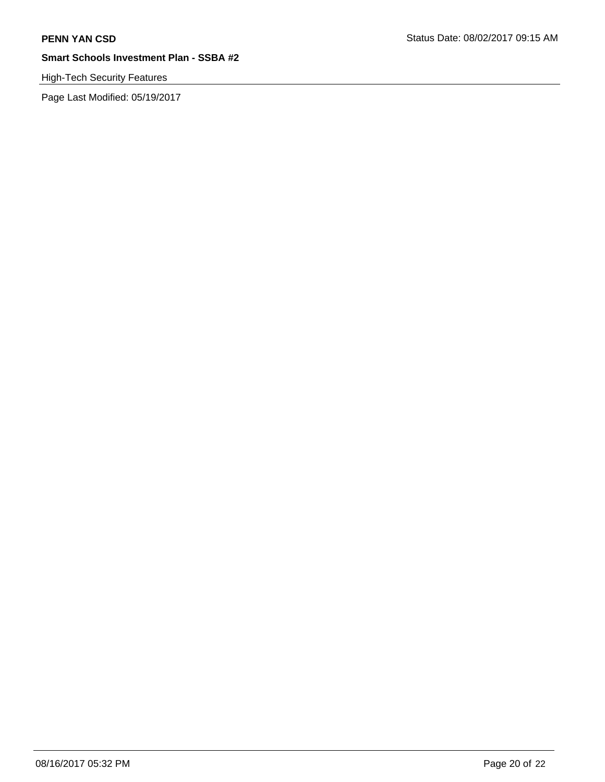# High-Tech Security Features

Page Last Modified: 05/19/2017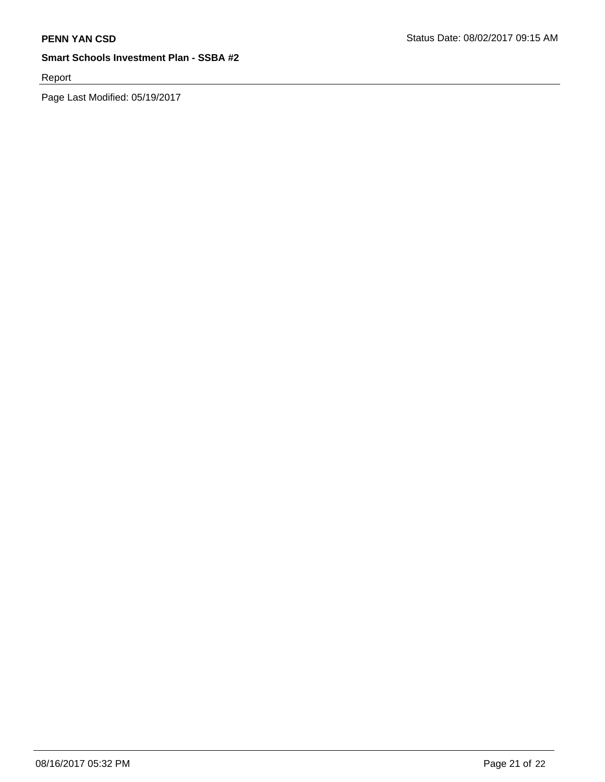Report

Page Last Modified: 05/19/2017